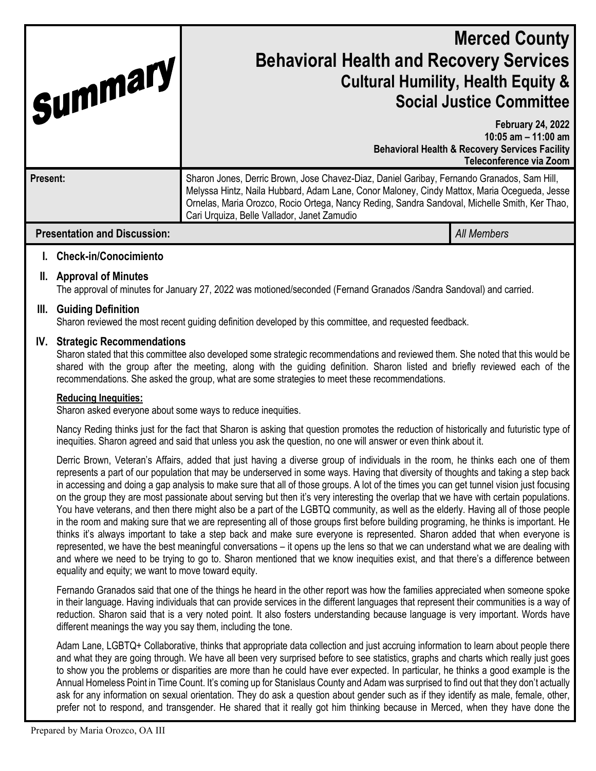| Summary                             | <b>Merced County</b><br><b>Behavioral Health and Recovery Services</b><br><b>Cultural Humility, Health Equity &amp;</b><br><b>Social Justice Committee</b>                                                                                                                                                                                |                                                                                                                                           |
|-------------------------------------|-------------------------------------------------------------------------------------------------------------------------------------------------------------------------------------------------------------------------------------------------------------------------------------------------------------------------------------------|-------------------------------------------------------------------------------------------------------------------------------------------|
|                                     |                                                                                                                                                                                                                                                                                                                                           | <b>February 24, 2022</b><br>10:05 $am - 11:00$ am<br><b>Behavioral Health &amp; Recovery Services Facility</b><br>Teleconference via Zoom |
| Present:                            | Sharon Jones, Derric Brown, Jose Chavez-Diaz, Daniel Garibay, Fernando Granados, Sam Hill,<br>Melyssa Hintz, Naila Hubbard, Adam Lane, Conor Maloney, Cindy Mattox, Maria Ocegueda, Jesse<br>Ornelas, Maria Orozco, Rocio Ortega, Nancy Reding, Sandra Sandoval, Michelle Smith, Ker Thao,<br>Cari Urquiza, Belle Vallador, Janet Zamudio |                                                                                                                                           |
| <b>Presentation and Discussion:</b> |                                                                                                                                                                                                                                                                                                                                           | <b>All Members</b>                                                                                                                        |

# **I. Check-in/Conocimiento**

## **II. Approval of Minutes**

The approval of minutes for January 27, 2022 was motioned/seconded (Fernand Granados /Sandra Sandoval) and carried.

## **III. Guiding Definition**

Sharon reviewed the most recent guiding definition developed by this committee, and requested feedback.

### **IV. Strategic Recommendations**

Sharon stated that this committee also developed some strategic recommendations and reviewed them. She noted that this would be shared with the group after the meeting, along with the guiding definition. Sharon listed and briefly reviewed each of the recommendations. She asked the group, what are some strategies to meet these recommendations.

### **Reducing Inequities:**

Sharon asked everyone about some ways to reduce inequities.

Nancy Reding thinks just for the fact that Sharon is asking that question promotes the reduction of historically and futuristic type of inequities. Sharon agreed and said that unless you ask the question, no one will answer or even think about it.

Derric Brown, Veteran's Affairs, added that just having a diverse group of individuals in the room, he thinks each one of them represents a part of our population that may be underserved in some ways. Having that diversity of thoughts and taking a step back in accessing and doing a gap analysis to make sure that all of those groups. A lot of the times you can get tunnel vision just focusing on the group they are most passionate about serving but then it's very interesting the overlap that we have with certain populations. You have veterans, and then there might also be a part of the LGBTQ community, as well as the elderly. Having all of those people in the room and making sure that we are representing all of those groups first before building programing, he thinks is important. He thinks it's always important to take a step back and make sure everyone is represented. Sharon added that when everyone is represented, we have the best meaningful conversations – it opens up the lens so that we can understand what we are dealing with and where we need to be trying to go to. Sharon mentioned that we know inequities exist, and that there's a difference between equality and equity; we want to move toward equity.

Fernando Granados said that one of the things he heard in the other report was how the families appreciated when someone spoke in their language. Having individuals that can provide services in the different languages that represent their communities is a way of reduction. Sharon said that is a very noted point. It also fosters understanding because language is very important. Words have different meanings the way you say them, including the tone.

Adam Lane, LGBTQ+ Collaborative, thinks that appropriate data collection and just accruing information to learn about people there and what they are going through. We have all been very surprised before to see statistics, graphs and charts which really just goes to show you the problems or disparities are more than he could have ever expected. In particular, he thinks a good example is the Annual Homeless Point in Time Count. It's coming up for Stanislaus County and Adam was surprised to find out that they don't actually ask for any information on sexual orientation. They do ask a question about gender such as if they identify as male, female, other, prefer not to respond, and transgender. He shared that it really got him thinking because in Merced, when they have done the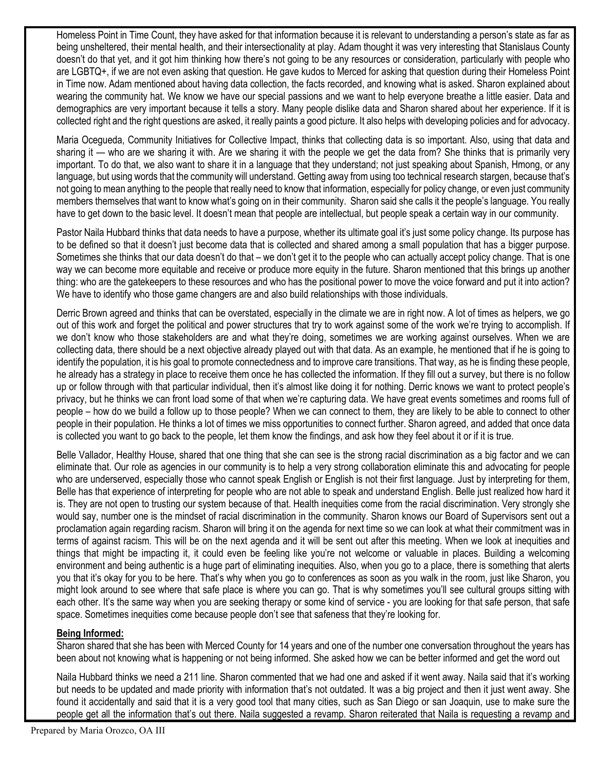Homeless Point in Time Count, they have asked for that information because it is relevant to understanding a person's state as far as being unsheltered, their mental health, and their intersectionality at play. Adam thought it was very interesting that Stanislaus County doesn't do that yet, and it got him thinking how there's not going to be any resources or consideration, particularly with people who are LGBTQ+, if we are not even asking that question. He gave kudos to Merced for asking that question during their Homeless Point in Time now. Adam mentioned about having data collection, the facts recorded, and knowing what is asked. Sharon explained about wearing the community hat. We know we have our special passions and we want to help everyone breathe a little easier. Data and demographics are very important because it tells a story. Many people dislike data and Sharon shared about her experience. If it is collected right and the right questions are asked, it really paints a good picture. It also helps with developing policies and for advocacy.

Maria Ocegueda, Community Initiatives for Collective Impact, thinks that collecting data is so important. Also, using that data and sharing it — who are we sharing it with. Are we sharing it with the people we get the data from? She thinks that is primarily very important. To do that, we also want to share it in a language that they understand; not just speaking about Spanish, Hmong, or any language, but using words that the community will understand. Getting away from using too technical research stargen, because that's not going to mean anything to the people that really need to know that information, especially for policy change, or even just community members themselves that want to know what's going on in their community. Sharon said she calls it the people's language. You really have to get down to the basic level. It doesn't mean that people are intellectual, but people speak a certain way in our community.

Pastor Naila Hubbard thinks that data needs to have a purpose, whether its ultimate goal it's just some policy change. Its purpose has to be defined so that it doesn't just become data that is collected and shared among a small population that has a bigger purpose. Sometimes she thinks that our data doesn't do that – we don't get it to the people who can actually accept policy change. That is one way we can become more equitable and receive or produce more equity in the future. Sharon mentioned that this brings up another thing: who are the gatekeepers to these resources and who has the positional power to move the voice forward and put it into action? We have to identify who those game changers are and also build relationships with those individuals.

Derric Brown agreed and thinks that can be overstated, especially in the climate we are in right now. A lot of times as helpers, we go out of this work and forget the political and power structures that try to work against some of the work we're trying to accomplish. If we don't know who those stakeholders are and what they're doing, sometimes we are working against ourselves. When we are collecting data, there should be a next objective already played out with that data. As an example, he mentioned that if he is going to identify the population, it is his goal to promote connectedness and to improve care transitions. That way, as he is finding these people, he already has a strategy in place to receive them once he has collected the information. If they fill out a survey, but there is no follow up or follow through with that particular individual, then it's almost like doing it for nothing. Derric knows we want to protect people's privacy, but he thinks we can front load some of that when we're capturing data. We have great events sometimes and rooms full of people – how do we build a follow up to those people? When we can connect to them, they are likely to be able to connect to other people in their population. He thinks a lot of times we miss opportunities to connect further. Sharon agreed, and added that once data is collected you want to go back to the people, let them know the findings, and ask how they feel about it or if it is true.

Belle Vallador, Healthy House, shared that one thing that she can see is the strong racial discrimination as a big factor and we can eliminate that. Our role as agencies in our community is to help a very strong collaboration eliminate this and advocating for people who are underserved, especially those who cannot speak English or English is not their first language. Just by interpreting for them, Belle has that experience of interpreting for people who are not able to speak and understand English. Belle just realized how hard it is. They are not open to trusting our system because of that. Health inequities come from the racial discrimination. Very strongly she would say, number one is the mindset of racial discrimination in the community. Sharon knows our Board of Supervisors sent out a proclamation again regarding racism. Sharon will bring it on the agenda for next time so we can look at what their commitment was in terms of against racism. This will be on the next agenda and it will be sent out after this meeting. When we look at inequities and things that might be impacting it, it could even be feeling like you're not welcome or valuable in places. Building a welcoming environment and being authentic is a huge part of eliminating inequities. Also, when you go to a place, there is something that alerts you that it's okay for you to be here. That's why when you go to conferences as soon as you walk in the room, just like Sharon, you might look around to see where that safe place is where you can go. That is why sometimes you'll see cultural groups sitting with each other. It's the same way when you are seeking therapy or some kind of service - you are looking for that safe person, that safe space. Sometimes inequities come because people don't see that safeness that they're looking for.

# **Being Informed:**

Sharon shared that she has been with Merced County for 14 years and one of the number one conversation throughout the years has been about not knowing what is happening or not being informed. She asked how we can be better informed and get the word out

Naila Hubbard thinks we need a 211 line. Sharon commented that we had one and asked if it went away. Naila said that it's working but needs to be updated and made priority with information that's not outdated. It was a big project and then it just went away. She found it accidentally and said that it is a very good tool that many cities, such as San Diego or san Joaquin, use to make sure the people get all the information that's out there. Naila suggested a revamp. Sharon reiterated that Naila is requesting a revamp and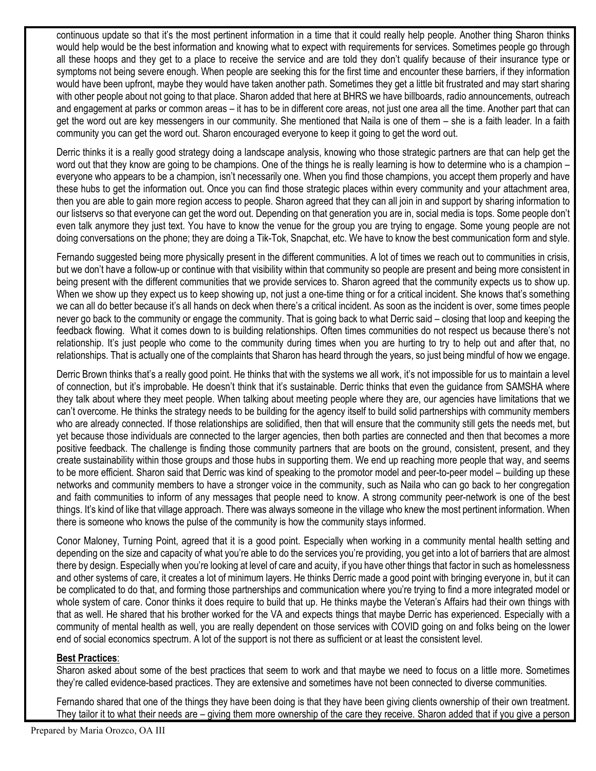continuous update so that it's the most pertinent information in a time that it could really help people. Another thing Sharon thinks would help would be the best information and knowing what to expect with requirements for services. Sometimes people go through all these hoops and they get to a place to receive the service and are told they don't qualify because of their insurance type or symptoms not being severe enough. When people are seeking this for the first time and encounter these barriers, if they information would have been upfront, maybe they would have taken another path. Sometimes they get a little bit frustrated and may start sharing with other people about not going to that place. Sharon added that here at BHRS we have billboards, radio announcements, outreach and engagement at parks or common areas – it has to be in different core areas, not just one area all the time. Another part that can get the word out are key messengers in our community. She mentioned that Naila is one of them – she is a faith leader. In a faith community you can get the word out. Sharon encouraged everyone to keep it going to get the word out.

Derric thinks it is a really good strategy doing a landscape analysis, knowing who those strategic partners are that can help get the word out that they know are going to be champions. One of the things he is really learning is how to determine who is a champion – everyone who appears to be a champion, isn't necessarily one. When you find those champions, you accept them properly and have these hubs to get the information out. Once you can find those strategic places within every community and your attachment area, then you are able to gain more region access to people. Sharon agreed that they can all join in and support by sharing information to our listservs so that everyone can get the word out. Depending on that generation you are in, social media is tops. Some people don't even talk anymore they just text. You have to know the venue for the group you are trying to engage. Some young people are not doing conversations on the phone; they are doing a Tik-Tok, Snapchat, etc. We have to know the best communication form and style.

Fernando suggested being more physically present in the different communities. A lot of times we reach out to communities in crisis, but we don't have a follow-up or continue with that visibility within that community so people are present and being more consistent in being present with the different communities that we provide services to. Sharon agreed that the community expects us to show up. When we show up they expect us to keep showing up, not just a one-time thing or for a critical incident. She knows that's something we can all do better because it's all hands on deck when there's a critical incident. As soon as the incident is over, some times people never go back to the community or engage the community. That is going back to what Derric said – closing that loop and keeping the feedback flowing. What it comes down to is building relationships. Often times communities do not respect us because there's not relationship. It's just people who come to the community during times when you are hurting to try to help out and after that, no relationships. That is actually one of the complaints that Sharon has heard through the years, so just being mindful of how we engage.

Derric Brown thinks that's a really good point. He thinks that with the systems we all work, it's not impossible for us to maintain a level of connection, but it's improbable. He doesn't think that it's sustainable. Derric thinks that even the guidance from SAMSHA where they talk about where they meet people. When talking about meeting people where they are, our agencies have limitations that we can't overcome. He thinks the strategy needs to be building for the agency itself to build solid partnerships with community members who are already connected. If those relationships are solidified, then that will ensure that the community still gets the needs met, but yet because those individuals are connected to the larger agencies, then both parties are connected and then that becomes a more positive feedback. The challenge is finding those community partners that are boots on the ground, consistent, present, and they create sustainability within those groups and those hubs in supporting them. We end up reaching more people that way, and seems to be more efficient. Sharon said that Derric was kind of speaking to the promotor model and peer-to-peer model – building up these networks and community members to have a stronger voice in the community, such as Naila who can go back to her congregation and faith communities to inform of any messages that people need to know. A strong community peer-network is one of the best things. It's kind of like that village approach. There was always someone in the village who knew the most pertinent information. When there is someone who knows the pulse of the community is how the community stays informed.

Conor Maloney, Turning Point, agreed that it is a good point. Especially when working in a community mental health setting and depending on the size and capacity of what you're able to do the services you're providing, you get into a lot of barriers that are almost there by design. Especially when you're looking at level of care and acuity, if you have other things that factor in such as homelessness and other systems of care, it creates a lot of minimum layers. He thinks Derric made a good point with bringing everyone in, but it can be complicated to do that, and forming those partnerships and communication where you're trying to find a more integrated model or whole system of care. Conor thinks it does require to build that up. He thinks maybe the Veteran's Affairs had their own things with that as well. He shared that his brother worked for the VA and expects things that maybe Derric has experienced. Especially with a community of mental health as well, you are really dependent on those services with COVID going on and folks being on the lower end of social economics spectrum. A lot of the support is not there as sufficient or at least the consistent level.

# **Best Practices**:

Sharon asked about some of the best practices that seem to work and that maybe we need to focus on a little more. Sometimes they're called evidence-based practices. They are extensive and sometimes have not been connected to diverse communities.

Fernando shared that one of the things they have been doing is that they have been giving clients ownership of their own treatment. They tailor it to what their needs are – giving them more ownership of the care they receive. Sharon added that if you give a person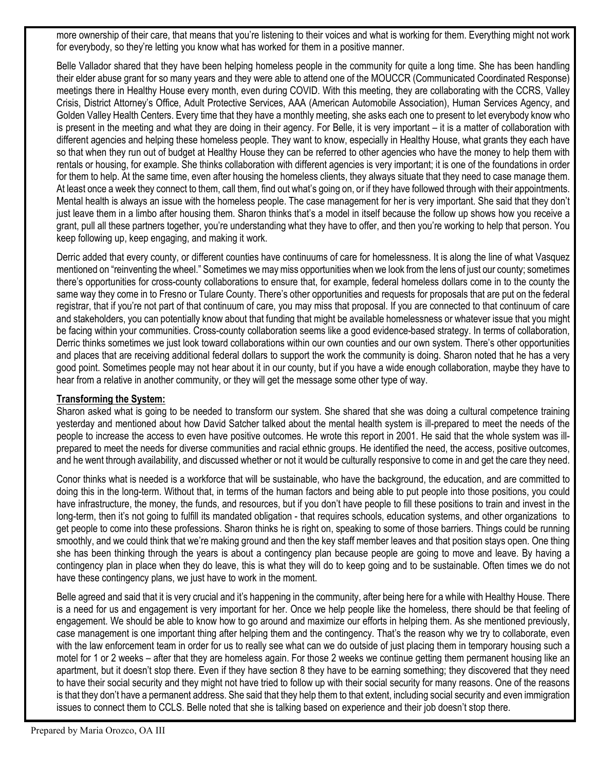more ownership of their care, that means that you're listening to their voices and what is working for them. Everything might not work for everybody, so they're letting you know what has worked for them in a positive manner.

Belle Vallador shared that they have been helping homeless people in the community for quite a long time. She has been handling their elder abuse grant for so many years and they were able to attend one of the MOUCCR (Communicated Coordinated Response) meetings there in Healthy House every month, even during COVID. With this meeting, they are collaborating with the CCRS, Valley Crisis, District Attorney's Office, Adult Protective Services, AAA (American Automobile Association), Human Services Agency, and Golden Valley Health Centers. Every time that they have a monthly meeting, she asks each one to present to let everybody know who is present in the meeting and what they are doing in their agency. For Belle, it is very important – it is a matter of collaboration with different agencies and helping these homeless people. They want to know, especially in Healthy House, what grants they each have so that when they run out of budget at Healthy House they can be referred to other agencies who have the money to help them with rentals or housing, for example. She thinks collaboration with different agencies is very important; it is one of the foundations in order for them to help. At the same time, even after housing the homeless clients, they always situate that they need to case manage them. At least once a week they connect to them, call them, find out what's going on, or if they have followed through with their appointments. Mental health is always an issue with the homeless people. The case management for her is very important. She said that they don't just leave them in a limbo after housing them. Sharon thinks that's a model in itself because the follow up shows how you receive a grant, pull all these partners together, you're understanding what they have to offer, and then you're working to help that person. You keep following up, keep engaging, and making it work.

Derric added that every county, or different counties have continuums of care for homelessness. It is along the line of what Vasquez mentioned on "reinventing the wheel." Sometimes we may miss opportunities when we look from the lens of just our county; sometimes there's opportunities for cross-county collaborations to ensure that, for example, federal homeless dollars come in to the county the same way they come in to Fresno or Tulare County. There's other opportunities and requests for proposals that are put on the federal registrar, that if you're not part of that continuum of care, you may miss that proposal. If you are connected to that continuum of care and stakeholders, you can potentially know about that funding that might be available homelessness or whatever issue that you might be facing within your communities. Cross-county collaboration seems like a good evidence-based strategy. In terms of collaboration, Derric thinks sometimes we just look toward collaborations within our own counties and our own system. There's other opportunities and places that are receiving additional federal dollars to support the work the community is doing. Sharon noted that he has a very good point. Sometimes people may not hear about it in our county, but if you have a wide enough collaboration, maybe they have to hear from a relative in another community, or they will get the message some other type of way.

# **Transforming the System:**

Sharon asked what is going to be needed to transform our system. She shared that she was doing a cultural competence training yesterday and mentioned about how David Satcher talked about the mental health system is ill-prepared to meet the needs of the people to increase the access to even have positive outcomes. He wrote this report in 2001. He said that the whole system was illprepared to meet the needs for diverse communities and racial ethnic groups. He identified the need, the access, positive outcomes, and he went through availability, and discussed whether or not it would be culturally responsive to come in and get the care they need.

Conor thinks what is needed is a workforce that will be sustainable, who have the background, the education, and are committed to doing this in the long-term. Without that, in terms of the human factors and being able to put people into those positions, you could have infrastructure, the money, the funds, and resources, but if you don't have people to fill these positions to train and invest in the long-term, then it's not going to fulfill its mandated obligation - that requires schools, education systems, and other organizations to get people to come into these professions. Sharon thinks he is right on, speaking to some of those barriers. Things could be running smoothly, and we could think that we're making ground and then the key staff member leaves and that position stays open. One thing she has been thinking through the years is about a contingency plan because people are going to move and leave. By having a contingency plan in place when they do leave, this is what they will do to keep going and to be sustainable. Often times we do not have these contingency plans, we just have to work in the moment.

Belle agreed and said that it is very crucial and it's happening in the community, after being here for a while with Healthy House. There is a need for us and engagement is very important for her. Once we help people like the homeless, there should be that feeling of engagement. We should be able to know how to go around and maximize our efforts in helping them. As she mentioned previously, case management is one important thing after helping them and the contingency. That's the reason why we try to collaborate, even with the law enforcement team in order for us to really see what can we do outside of just placing them in temporary housing such a motel for 1 or 2 weeks – after that they are homeless again. For those 2 weeks we continue getting them permanent housing like an apartment, but it doesn't stop there. Even if they have section 8 they have to be earning something; they discovered that they need to have their social security and they might not have tried to follow up with their social security for many reasons. One of the reasons is that they don't have a permanent address. She said that they help them to that extent, including social security and even immigration issues to connect them to CCLS. Belle noted that she is talking based on experience and their job doesn't stop there.